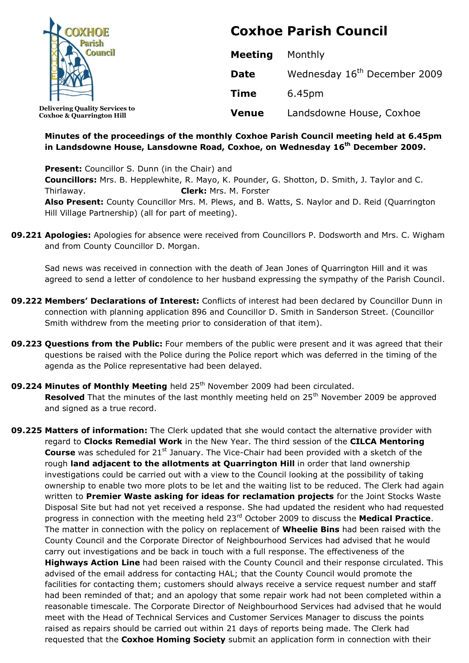

**Coxhoe & Quarrington Hill**

# **Coxhoe Parish Council**

| Meeting      | Monthly                                  |
|--------------|------------------------------------------|
| <b>Date</b>  | Wednesday 16 <sup>th</sup> December 2009 |
| <b>Time</b>  | 6.45pm                                   |
| <b>Venue</b> | Landsdowne House, Coxhoe                 |

## **Minutes of the proceedings of the monthly Coxhoe Parish Council meeting held at 6.45pm in Landsdowne House, Lansdowne Road, Coxhoe, on Wednesday 16th December 2009.**

**Present:** Councillor S. Dunn (in the Chair) and **Councillors:** Mrs. B. Hepplewhite, R. Mayo, K. Pounder, G. Shotton, D. Smith, J. Taylor and C. Thirlaway. **Clerk:** Mrs. M. Forster **Also Present:** County Councillor Mrs. M. Plews, and B. Watts, S. Naylor and D. Reid (Quarrington Hill Village Partnership) (all for part of meeting).

**09.221 Apologies:** Apologies for absence were received from Councillors P. Dodsworth and Mrs. C. Wigham and from County Councillor D. Morgan.

Sad news was received in connection with the death of Jean Jones of Quarrington Hill and it was agreed to send a letter of condolence to her husband expressing the sympathy of the Parish Council.

- **09.222 Members' Declarations of Interest:** Conflicts of interest had been declared by Councillor Dunn in connection with planning application 896 and Councillor D. Smith in Sanderson Street. (Councillor Smith withdrew from the meeting prior to consideration of that item).
- **09.223 Questions from the Public:** Four members of the public were present and it was agreed that their questions be raised with the Police during the Police report which was deferred in the timing of the agenda as the Police representative had been delayed.
- **09.224 Minutes of Monthly Meeting** held 25<sup>th</sup> November 2009 had been circulated. **Resolved** That the minutes of the last monthly meeting held on 25<sup>th</sup> November 2009 be approved and signed as a true record.
- **09.225 Matters of information:** The Clerk updated that she would contact the alternative provider with regard to **Clocks Remedial Work** in the New Year. The third session of the **CILCA Mentoring Course** was scheduled for 21<sup>st</sup> January. The Vice-Chair had been provided with a sketch of the rough **land adjacent to the allotments at Quarrington Hill** in order that land ownership investigations could be carried out with a view to the Council looking at the possibility of taking ownership to enable two more plots to be let and the waiting list to be reduced. The Clerk had again written to **Premier Waste asking for ideas for reclamation projects** for the Joint Stocks Waste Disposal Site but had not yet received a response. She had updated the resident who had requested progress in connection with the meeting held 23rd October 2009 to discuss the **Medical Practice**. The matter in connection with the policy on replacement of **Wheelie Bins** had been raised with the County Council and the Corporate Director of Neighbourhood Services had advised that he would carry out investigations and be back in touch with a full response. The effectiveness of the **Highways Action Line** had been raised with the County Council and their response circulated. This advised of the email address for contacting HAL; that the County Council would promote the facilities for contacting them; customers should always receive a service request number and staff had been reminded of that; and an apology that some repair work had not been completed within a reasonable timescale. The Corporate Director of Neighbourhood Services had advised that he would meet with the Head of Technical Services and Customer Services Manager to discuss the points raised as repairs should be carried out within 21 days of reports being made. The Clerk had requested that the **Coxhoe Homing Society** submit an application form in connection with their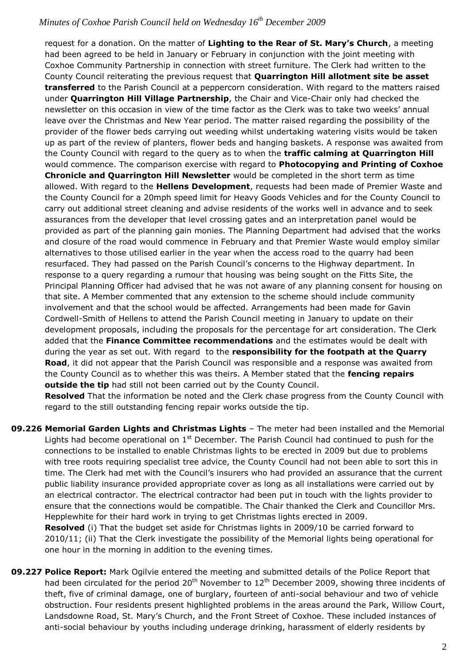request for a donation. On the matter of **Lighting to the Rear of St. Mary's Church**, a meeting had been agreed to be held in January or February in conjunction with the joint meeting with Coxhoe Community Partnership in connection with street furniture. The Clerk had written to the County Council reiterating the previous request that **Quarrington Hill allotment site be asset transferred** to the Parish Council at a peppercorn consideration. With regard to the matters raised under **Quarrington Hill Village Partnership**, the Chair and Vice-Chair only had checked the newsletter on this occasion in view of the time factor as the Clerk was to take two weeks' annual leave over the Christmas and New Year period. The matter raised regarding the possibility of the provider of the flower beds carrying out weeding whilst undertaking watering visits would be taken up as part of the review of planters, flower beds and hanging baskets. A response was awaited from the County Council with regard to the query as to when the **traffic calming at Quarrington Hill** would commence. The comparison exercise with regard to **Photocopying and Printing of Coxhoe Chronicle and Quarrington Hill Newsletter** would be completed in the short term as time allowed. With regard to the **Hellens Development**, requests had been made of Premier Waste and the County Council for a 20mph speed limit for Heavy Goods Vehicles and for the County Council to carry out additional street cleaning and advise residents of the works well in advance and to seek assurances from the developer that level crossing gates and an interpretation panel would be provided as part of the planning gain monies. The Planning Department had advised that the works and closure of the road would commence in February and that Premier Waste would employ similar alternatives to those utilised earlier in the year when the access road to the quarry had been resurfaced. They had passed on the Parish Council's concerns to the Highway department. In response to a query regarding a rumour that housing was being sought on the Fitts Site, the Principal Planning Officer had advised that he was not aware of any planning consent for housing on that site. A Member commented that any extension to the scheme should include community involvement and that the school would be affected. Arrangements had been made for Gavin Cordwell-Smith of Hellens to attend the Parish Council meeting in January to update on their development proposals, including the proposals for the percentage for art consideration. The Clerk added that the **Finance Committee recommendations** and the estimates would be dealt with during the year as set out. With regard to the **responsibility for the footpath at the Quarry Road**, it did not appear that the Parish Council was responsible and a response was awaited from the County Council as to whether this was theirs. A Member stated that the **fencing repairs outside the tip** had still not been carried out by the County Council. **Resolved** That the information be noted and the Clerk chase progress from the County Council with regard to the still outstanding fencing repair works outside the tip.

**09.226 Memorial Garden Lights and Christmas Lights** – The meter had been installed and the Memorial Lights had become operational on  $1<sup>st</sup>$  December. The Parish Council had continued to push for the connections to be installed to enable Christmas lights to be erected in 2009 but due to problems with tree roots requiring specialist tree advice, the County Council had not been able to sort this in time. The Clerk had met with the Council's insurers who had provided an assurance that the current public liability insurance provided appropriate cover as long as all installations were carried out by an electrical contractor. The electrical contractor had been put in touch with the lights provider to ensure that the connections would be compatible. The Chair thanked the Clerk and Councillor Mrs. Hepplewhite for their hard work in trying to get Christmas lights erected in 2009.

**Resolved** (i) That the budget set aside for Christmas lights in 2009/10 be carried forward to 2010/11; (ii) That the Clerk investigate the possibility of the Memorial lights being operational for one hour in the morning in addition to the evening times.

**09.227 Police Report:** Mark Ogilvie entered the meeting and submitted details of the Police Report that had been circulated for the period 20<sup>th</sup> November to  $12<sup>th</sup>$  December 2009, showing three incidents of theft, five of criminal damage, one of burglary, fourteen of anti-social behaviour and two of vehicle obstruction. Four residents present highlighted problems in the areas around the Park, Willow Court, Landsdowne Road, St. Mary's Church, and the Front Street of Coxhoe. These included instances of anti-social behaviour by youths including underage drinking, harassment of elderly residents by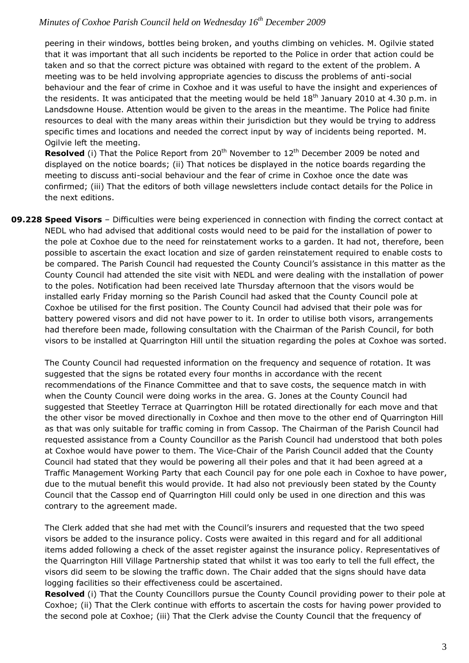peering in their windows, bottles being broken, and youths climbing on vehicles. M. Ogilvie stated that it was important that all such incidents be reported to the Police in order that action could be taken and so that the correct picture was obtained with regard to the extent of the problem. A meeting was to be held involving appropriate agencies to discuss the problems of anti-social behaviour and the fear of crime in Coxhoe and it was useful to have the insight and experiences of the residents. It was anticipated that the meeting would be held  $18<sup>th</sup>$  January 2010 at 4.30 p.m. in Landsdowne House. Attention would be given to the areas in the meantime. The Police had finite resources to deal with the many areas within their jurisdiction but they would be trying to address specific times and locations and needed the correct input by way of incidents being reported. M. Ogilvie left the meeting.

**Resolved** (i) That the Police Report from 20<sup>th</sup> November to 12<sup>th</sup> December 2009 be noted and displayed on the notice boards; (ii) That notices be displayed in the notice boards regarding the meeting to discuss anti-social behaviour and the fear of crime in Coxhoe once the date was confirmed; (iii) That the editors of both village newsletters include contact details for the Police in the next editions.

**09.228 Speed Visors** – Difficulties were being experienced in connection with finding the correct contact at NEDL who had advised that additional costs would need to be paid for the installation of power to the pole at Coxhoe due to the need for reinstatement works to a garden. It had not, therefore, been possible to ascertain the exact location and size of garden reinstatement required to enable costs to be compared. The Parish Council had requested the County Council's assistance in this matter as the County Council had attended the site visit with NEDL and were dealing with the installation of power to the poles. Notification had been received late Thursday afternoon that the visors would be installed early Friday morning so the Parish Council had asked that the County Council pole at Coxhoe be utilised for the first position. The County Council had advised that their pole was for battery powered visors and did not have power to it. In order to utilise both visors, arrangements had therefore been made, following consultation with the Chairman of the Parish Council, for both visors to be installed at Quarrington Hill until the situation regarding the poles at Coxhoe was sorted.

The County Council had requested information on the frequency and sequence of rotation. It was suggested that the signs be rotated every four months in accordance with the recent recommendations of the Finance Committee and that to save costs, the sequence match in with when the County Council were doing works in the area. G. Jones at the County Council had suggested that Steetley Terrace at Quarrington Hill be rotated directionally for each move and that the other visor be moved directionally in Coxhoe and then move to the other end of Quarrington Hill as that was only suitable for traffic coming in from Cassop. The Chairman of the Parish Council had requested assistance from a County Councillor as the Parish Council had understood that both poles at Coxhoe would have power to them. The Vice-Chair of the Parish Council added that the County Council had stated that they would be powering all their poles and that it had been agreed at a Traffic Management Working Party that each Council pay for one pole each in Coxhoe to have power, due to the mutual benefit this would provide. It had also not previously been stated by the County Council that the Cassop end of Quarrington Hill could only be used in one direction and this was contrary to the agreement made.

The Clerk added that she had met with the Council's insurers and requested that the two speed visors be added to the insurance policy. Costs were awaited in this regard and for all additional items added following a check of the asset register against the insurance policy. Representatives of the Quarrington Hill Village Partnership stated that whilst it was too early to tell the full effect, the visors did seem to be slowing the traffic down. The Chair added that the signs should have data logging facilities so their effectiveness could be ascertained.

 **Resolved** (i) That the County Councillors pursue the County Council providing power to their pole at Coxhoe; (ii) That the Clerk continue with efforts to ascertain the costs for having power provided to the second pole at Coxhoe; (iii) That the Clerk advise the County Council that the frequency of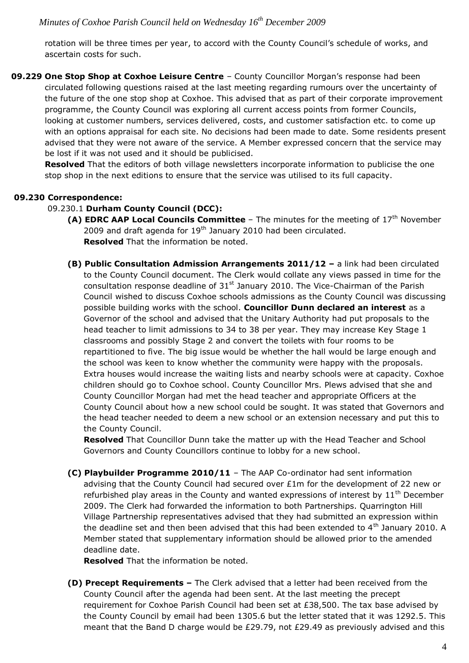rotation will be three times per year, to accord with the County Council's schedule of works, and ascertain costs for such.

**09.229 One Stop Shop at Coxhoe Leisure Centre** – County Councillor Morgan's response had been circulated following questions raised at the last meeting regarding rumours over the uncertainty of the future of the one stop shop at Coxhoe. This advised that as part of their corporate improvement programme, the County Council was exploring all current access points from former Councils, looking at customer numbers, services delivered, costs, and customer satisfaction etc. to come up with an options appraisal for each site. No decisions had been made to date. Some residents present advised that they were not aware of the service. A Member expressed concern that the service may be lost if it was not used and it should be publicised.

**Resolved** That the editors of both village newsletters incorporate information to publicise the one stop shop in the next editions to ensure that the service was utilised to its full capacity.

## **09.230 Correspondence:**

#### 09.230.1 **Durham County Council (DCC):**

- **(A) EDRC AAP Local Councils Committee** The minutes for the meeting of 17<sup>th</sup> November 2009 and draft agenda for  $19<sup>th</sup>$  January 2010 had been circulated. **Resolved** That the information be noted.
- **(B) Public Consultation Admission Arrangements 2011/12 –** a link had been circulated to the County Council document. The Clerk would collate any views passed in time for the consultation response deadline of  $31<sup>st</sup>$  January 2010. The Vice-Chairman of the Parish Council wished to discuss Coxhoe schools admissions as the County Council was discussing possible building works with the school. **Councillor Dunn declared an interest** as a Governor of the school and advised that the Unitary Authority had put proposals to the head teacher to limit admissions to 34 to 38 per year. They may increase Key Stage 1 classrooms and possibly Stage 2 and convert the toilets with four rooms to be repartitioned to five. The big issue would be whether the hall would be large enough and the school was keen to know whether the community were happy with the proposals. Extra houses would increase the waiting lists and nearby schools were at capacity. Coxhoe children should go to Coxhoe school. County Councillor Mrs. Plews advised that she and County Councillor Morgan had met the head teacher and appropriate Officers at the County Council about how a new school could be sought. It was stated that Governors and the head teacher needed to deem a new school or an extension necessary and put this to the County Council.

**Resolved** That Councillor Dunn take the matter up with the Head Teacher and School Governors and County Councillors continue to lobby for a new school.

**(C) Playbuilder Programme 2010/11** – The AAP Co-ordinator had sent information advising that the County Council had secured over £1m for the development of 22 new or refurbished play areas in the County and wanted expressions of interest by  $11<sup>th</sup>$  December 2009. The Clerk had forwarded the information to both Partnerships. Quarrington Hill Village Partnership representatives advised that they had submitted an expression within the deadline set and then been advised that this had been extended to  $4<sup>th</sup>$  January 2010. A Member stated that supplementary information should be allowed prior to the amended deadline date.

**Resolved** That the information be noted.

**(D) Precept Requirements –** The Clerk advised that a letter had been received from the County Council after the agenda had been sent. At the last meeting the precept requirement for Coxhoe Parish Council had been set at £38,500. The tax base advised by the County Council by email had been 1305.6 but the letter stated that it was 1292.5. This meant that the Band D charge would be £29.79, not £29.49 as previously advised and this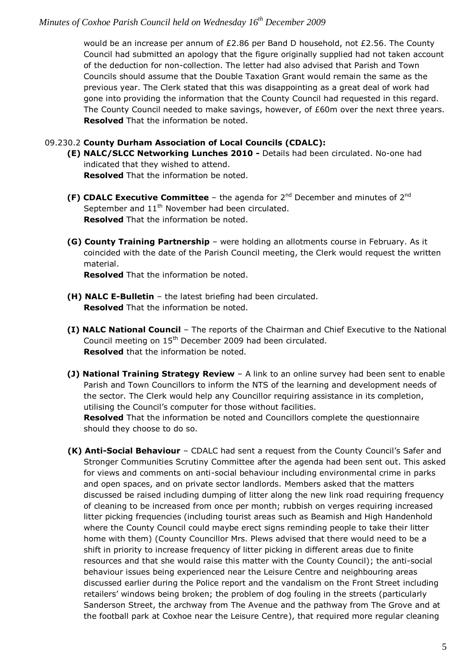would be an increase per annum of £2.86 per Band D household, not £2.56. The County Council had submitted an apology that the figure originally supplied had not taken account of the deduction for non-collection. The letter had also advised that Parish and Town Councils should assume that the Double Taxation Grant would remain the same as the previous year. The Clerk stated that this was disappointing as a great deal of work had gone into providing the information that the County Council had requested in this regard. The County Council needed to make savings, however, of £60m over the next three years. **Resolved** That the information be noted.

## 09.230.2 **County Durham Association of Local Councils (CDALC):**

**(E) NALC/SLCC Networking Lunches 2010 -** Details had been circulated. No-one had indicated that they wished to attend.

**Resolved** That the information be noted.

- **(F) CDALC Executive Committee** the agenda for 2nd December and minutes of 2nd September and  $11<sup>th</sup>$  November had been circulated. **Resolved** That the information be noted.
- **(G) County Training Partnership**  were holding an allotments course in February. As it coincided with the date of the Parish Council meeting, the Clerk would request the written material.

**Resolved** That the information be noted.

- **(H) NALC E-Bulletin**  the latest briefing had been circulated. **Resolved** That the information be noted.
- **(I) NALC National Council** The reports of the Chairman and Chief Executive to the National Council meeting on 15<sup>th</sup> December 2009 had been circulated. **Resolved** that the information be noted.
- **(J) National Training Strategy Review** A link to an online survey had been sent to enable Parish and Town Councillors to inform the NTS of the learning and development needs of the sector. The Clerk would help any Councillor requiring assistance in its completion, utilising the Council's computer for those without facilities.

**Resolved** That the information be noted and Councillors complete the questionnaire should they choose to do so.

**(K) Anti-Social Behaviour** – CDALC had sent a request from the County Council's Safer and Stronger Communities Scrutiny Committee after the agenda had been sent out. This asked for views and comments on anti-social behaviour including environmental crime in parks and open spaces, and on private sector landlords. Members asked that the matters discussed be raised including dumping of litter along the new link road requiring frequency of cleaning to be increased from once per month; rubbish on verges requiring increased litter picking frequencies (including tourist areas such as Beamish and High Handenhold where the County Council could maybe erect signs reminding people to take their litter home with them) (County Councillor Mrs. Plews advised that there would need to be a shift in priority to increase frequency of litter picking in different areas due to finite resources and that she would raise this matter with the County Council); the anti-social behaviour issues being experienced near the Leisure Centre and neighbouring areas discussed earlier during the Police report and the vandalism on the Front Street including retailers' windows being broken; the problem of dog fouling in the streets (particularly Sanderson Street, the archway from The Avenue and the pathway from The Grove and at the football park at Coxhoe near the Leisure Centre), that required more regular cleaning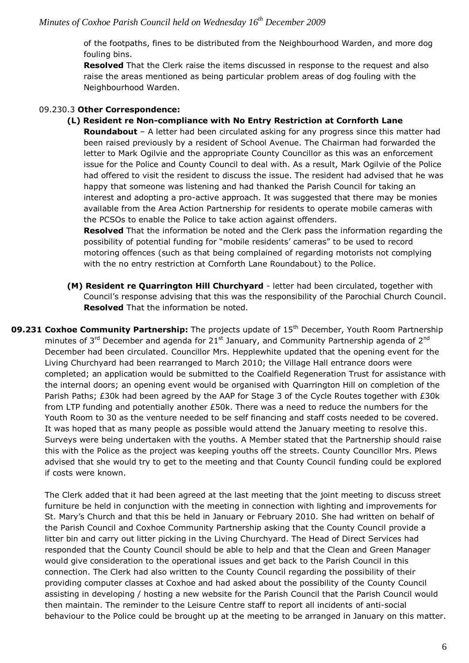of the footpaths, fines to be distributed from the Neighbourhood Warden, and more dog fouling bins.

**Resolved** That the Clerk raise the items discussed in response to the request and also raise the areas mentioned as being particular problem areas of dog fouling with the Neighbourhood Warden.

## 09.230.3 **Other Correspondence:**

#### **(L) Resident re Non-compliance with No Entry Restriction at Cornforth Lane**

**Roundabout** – A letter had been circulated asking for any progress since this matter had been raised previously by a resident of School Avenue. The Chairman had forwarded the letter to Mark Ogilvie and the appropriate County Councillor as this was an enforcement issue for the Police and County Council to deal with. As a result, Mark Ogilvie of the Police had offered to visit the resident to discuss the issue. The resident had advised that he was happy that someone was listening and had thanked the Parish Council for taking an interest and adopting a pro-active approach. It was suggested that there may be monies available from the Area Action Partnership for residents to operate mobile cameras with the PCSOs to enable the Police to take action against offenders.

**Resolved** That the information be noted and the Clerk pass the information regarding the possibility of potential funding for "mobile residents' cameras" to be used to record motoring offences (such as that being complained of regarding motorists not complying with the no entry restriction at Cornforth Lane Roundabout) to the Police.

- **(M) Resident re Quarrington Hill Churchyard** letter had been circulated, together with Council's response advising that this was the responsibility of the Parochial Church Council. **Resolved** That the information be noted.
- **09.231 Coxhoe Community Partnership:** The projects update of 15<sup>th</sup> December, Youth Room Partnership minutes of  $3<sup>rd</sup>$  December and agenda for 21<sup>st</sup> January, and Community Partnership agenda of 2<sup>nd</sup> December had been circulated. Councillor Mrs. Hepplewhite updated that the opening event for the Living Churchyard had been rearranged to March 2010; the Village Hall entrance doors were completed; an application would be submitted to the Coalfield Regeneration Trust for assistance with the internal doors; an opening event would be organised with Quarrington Hill on completion of the Parish Paths; £30k had been agreed by the AAP for Stage 3 of the Cycle Routes together with £30k from LTP funding and potentially another £50k. There was a need to reduce the numbers for the Youth Room to 30 as the venture needed to be self financing and staff costs needed to be covered. It was hoped that as many people as possible would attend the January meeting to resolve this. Surveys were being undertaken with the youths. A Member stated that the Partnership should raise this with the Police as the project was keeping youths off the streets. County Councillor Mrs. Plews advised that she would try to get to the meeting and that County Council funding could be explored if costs were known.

The Clerk added that it had been agreed at the last meeting that the joint meeting to discuss street furniture be held in conjunction with the meeting in connection with lighting and improvements for St. Mary's Church and that this be held in January or February 2010. She had written on behalf of the Parish Council and Coxhoe Community Partnership asking that the County Council provide a litter bin and carry out litter picking in the Living Churchyard. The Head of Direct Services had responded that the County Council should be able to help and that the Clean and Green Manager would give consideration to the operational issues and get back to the Parish Council in this connection. The Clerk had also written to the County Council regarding the possibility of their providing computer classes at Coxhoe and had asked about the possibility of the County Council assisting in developing / hosting a new website for the Parish Council that the Parish Council would then maintain. The reminder to the Leisure Centre staff to report all incidents of anti-social behaviour to the Police could be brought up at the meeting to be arranged in January on this matter.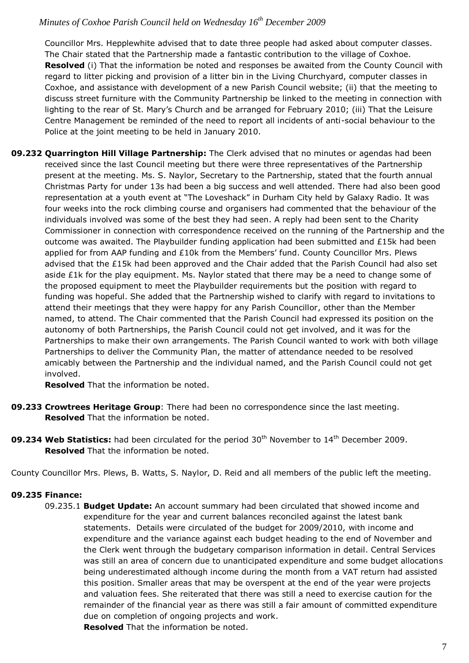Councillor Mrs. Hepplewhite advised that to date three people had asked about computer classes. The Chair stated that the Partnership made a fantastic contribution to the village of Coxhoe. **Resolved** (i) That the information be noted and responses be awaited from the County Council with regard to litter picking and provision of a litter bin in the Living Churchyard, computer classes in Coxhoe, and assistance with development of a new Parish Council website; (ii) that the meeting to discuss street furniture with the Community Partnership be linked to the meeting in connection with lighting to the rear of St. Mary's Church and be arranged for February 2010; (iii) That the Leisure Centre Management be reminded of the need to report all incidents of anti-social behaviour to the Police at the joint meeting to be held in January 2010.

**09.232 Quarrington Hill Village Partnership:** The Clerk advised that no minutes or agendas had been received since the last Council meeting but there were three representatives of the Partnership present at the meeting. Ms. S. Naylor, Secretary to the Partnership, stated that the fourth annual Christmas Party for under 13s had been a big success and well attended. There had also been good representation at a youth event at "The Loveshack" in Durham City held by Galaxy Radio. It was four weeks into the rock climbing course and organisers had commented that the behaviour of the individuals involved was some of the best they had seen. A reply had been sent to the Charity Commissioner in connection with correspondence received on the running of the Partnership and the outcome was awaited. The Playbuilder funding application had been submitted and £15k had been applied for from AAP funding and £10k from the Members' fund. County Councillor Mrs. Plews advised that the £15k had been approved and the Chair added that the Parish Council had also set aside  $£1k$  for the play equipment. Ms. Naylor stated that there may be a need to change some of the proposed equipment to meet the Playbuilder requirements but the position with regard to funding was hopeful. She added that the Partnership wished to clarify with regard to invitations to attend their meetings that they were happy for any Parish Councillor, other than the Member named, to attend. The Chair commented that the Parish Council had expressed its position on the autonomy of both Partnerships, the Parish Council could not get involved, and it was for the Partnerships to make their own arrangements. The Parish Council wanted to work with both village Partnerships to deliver the Community Plan, the matter of attendance needed to be resolved amicably between the Partnership and the individual named, and the Parish Council could not get involved.

**Resolved** That the information be noted.

- **09.233 Crowtrees Heritage Group**: There had been no correspondence since the last meeting. **Resolved** That the information be noted.
- **09.234 Web Statistics:** had been circulated for the period 30<sup>th</sup> November to 14<sup>th</sup> December 2009. **Resolved** That the information be noted.

County Councillor Mrs. Plews, B. Watts, S. Naylor, D. Reid and all members of the public left the meeting.

## **09.235 Finance:**

09.235.1 **Budget Update:** An account summary had been circulated that showed income and expenditure for the year and current balances reconciled against the latest bank statements. Details were circulated of the budget for 2009/2010, with income and expenditure and the variance against each budget heading to the end of November and the Clerk went through the budgetary comparison information in detail. Central Services was still an area of concern due to unanticipated expenditure and some budget allocations being underestimated although income during the month from a VAT return had assisted this position. Smaller areas that may be overspent at the end of the year were projects and valuation fees. She reiterated that there was still a need to exercise caution for the remainder of the financial year as there was still a fair amount of committed expenditure due on completion of ongoing projects and work.

**Resolved** That the information be noted.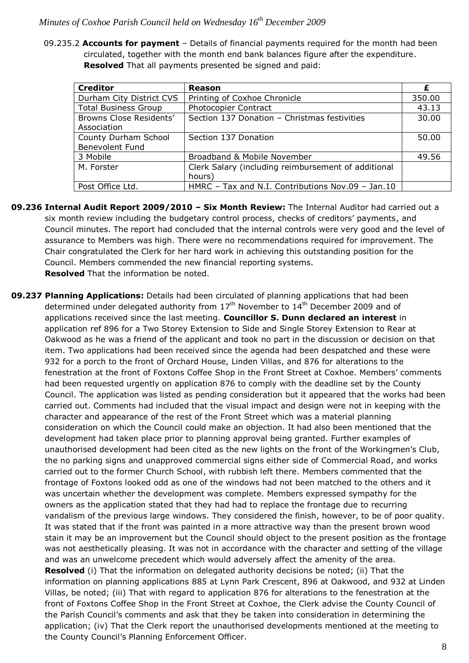09.235.2 **Accounts for payment** – Details of financial payments required for the month had been circulated, together with the month end bank balances figure after the expenditure. **Resolved** That all payments presented be signed and paid:

| <b>Creditor</b>                                | Reason                                                        | £      |
|------------------------------------------------|---------------------------------------------------------------|--------|
| Durham City District CVS                       | Printing of Coxhoe Chronicle                                  | 350.00 |
| <b>Total Business Group</b>                    | <b>Photocopier Contract</b>                                   | 43.13  |
| Browns Close Residents'<br>Association         | Section 137 Donation - Christmas festivities                  | 30.00  |
| County Durham School<br><b>Benevolent Fund</b> | Section 137 Donation                                          | 50.00  |
| 3 Mobile                                       | Broadband & Mobile November                                   | 49.56  |
| M. Forster                                     | Clerk Salary (including reimbursement of additional<br>hours) |        |
| Post Office Ltd.                               | HMRC - Tax and N.I. Contributions Nov.09 - Jan.10             |        |

- **09.236 Internal Audit Report 2009/2010 – Six Month Review:** The Internal Auditor had carried out a six month review including the budgetary control process, checks of creditors' payments, and Council minutes. The report had concluded that the internal controls were very good and the level of assurance to Members was high. There were no recommendations required for improvement. The Chair congratulated the Clerk for her hard work in achieving this outstanding position for the Council. Members commended the new financial reporting systems. **Resolved** That the information be noted.
- **09.237 Planning Applications:** Details had been circulated of planning applications that had been determined under delegated authority from  $17<sup>th</sup>$  November to  $14<sup>th</sup>$  December 2009 and of applications received since the last meeting. **Councillor S. Dunn declared an interest** in application ref 896 for a Two Storey Extension to Side and Single Storey Extension to Rear at Oakwood as he was a friend of the applicant and took no part in the discussion or decision on that item. Two applications had been received since the agenda had been despatched and these were 932 for a porch to the front of Orchard House, Linden Villas, and 876 for alterations to the fenestration at the front of Foxtons Coffee Shop in the Front Street at Coxhoe. Members' comments had been requested urgently on application 876 to comply with the deadline set by the County Council. The application was listed as pending consideration but it appeared that the works had been carried out. Comments had included that the visual impact and design were not in keeping with the character and appearance of the rest of the Front Street which was a material planning consideration on which the Council could make an objection. It had also been mentioned that the development had taken place prior to planning approval being granted. Further examples of unauthorised development had been cited as the new lights on the front of the Workingmen's Club, the no parking signs and unapproved commercial signs either side of Commercial Road, and works carried out to the former Church School, with rubbish left there. Members commented that the frontage of Foxtons looked odd as one of the windows had not been matched to the others and it was uncertain whether the development was complete. Members expressed sympathy for the owners as the application stated that they had had to replace the frontage due to recurring vandalism of the previous large windows. They considered the finish, however, to be of poor quality. It was stated that if the front was painted in a more attractive way than the present brown wood stain it may be an improvement but the Council should object to the present position as the frontage was not aesthetically pleasing. It was not in accordance with the character and setting of the village and was an unwelcome precedent which would adversely affect the amenity of the area. **Resolved** (i) That the information on delegated authority decisions be noted; (ii) That the information on planning applications 885 at Lynn Park Crescent, 896 at Oakwood, and 932 at Linden Villas, be noted; (iii) That with regard to application 876 for alterations to the fenestration at the front of Foxtons Coffee Shop in the Front Street at Coxhoe, the Clerk advise the County Council of the Parish Council's comments and ask that they be taken into consideration in determining the application; (iv) That the Clerk report the unauthorised developments mentioned at the meeting to the County Council's Planning Enforcement Officer.